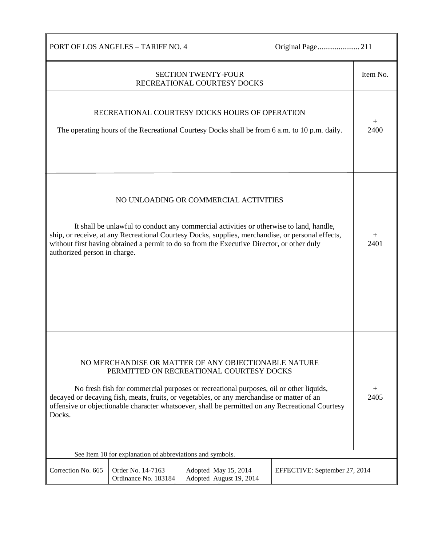| PORT OF LOS ANGELES - TARIFF NO. 4                                                                                                                                                                                                                                                                                                                                                                    |                |  |  |  |
|-------------------------------------------------------------------------------------------------------------------------------------------------------------------------------------------------------------------------------------------------------------------------------------------------------------------------------------------------------------------------------------------------------|----------------|--|--|--|
| <b>SECTION TWENTY-FOUR</b><br>RECREATIONAL COURTESY DOCKS                                                                                                                                                                                                                                                                                                                                             | Item No.       |  |  |  |
| RECREATIONAL COURTESY DOCKS HOURS OF OPERATION<br>The operating hours of the Recreational Courtesy Docks shall be from 6 a.m. to 10 p.m. daily.                                                                                                                                                                                                                                                       | 2400           |  |  |  |
| NO UNLOADING OR COMMERCIAL ACTIVITIES<br>It shall be unlawful to conduct any commercial activities or otherwise to land, handle,<br>ship, or receive, at any Recreational Courtesy Docks, supplies, merchandise, or personal effects,<br>without first having obtained a permit to do so from the Executive Director, or other duly<br>authorized person in charge.                                   | $^{+}$<br>2401 |  |  |  |
| NO MERCHANDISE OR MATTER OF ANY OBJECTIONABLE NATURE<br>PERMITTED ON RECREATIONAL COURTESY DOCKS<br>No fresh fish for commercial purposes or recreational purposes, oil or other liquids,<br>decayed or decaying fish, meats, fruits, or vegetables, or any merchandise or matter of an<br>offensive or objectionable character whatsoever, shall be permitted on any Recreational Courtesy<br>Docks. |                |  |  |  |
| See Item 10 for explanation of abbreviations and symbols.                                                                                                                                                                                                                                                                                                                                             |                |  |  |  |
| Correction No. 665<br>Order No. 14-7163<br>Adopted May 15, 2014<br>EFFECTIVE: September 27, 2014<br>Ordinance No. 183184<br>Adopted August 19, 2014                                                                                                                                                                                                                                                   |                |  |  |  |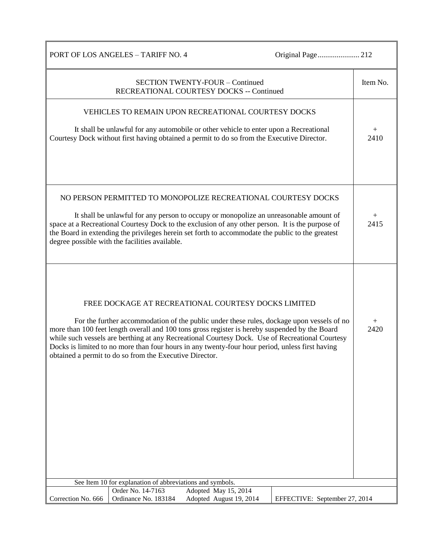|                                                           | PORT OF LOS ANGELES - TARIFF NO. 4                                                                                                                                                                                                                                                                                                                                                                                                                                                                                  |                                                 |  |                               |                      |
|-----------------------------------------------------------|---------------------------------------------------------------------------------------------------------------------------------------------------------------------------------------------------------------------------------------------------------------------------------------------------------------------------------------------------------------------------------------------------------------------------------------------------------------------------------------------------------------------|-------------------------------------------------|--|-------------------------------|----------------------|
|                                                           | RECREATIONAL COURTESY DOCKS -- Continued                                                                                                                                                                                                                                                                                                                                                                                                                                                                            | <b>SECTION TWENTY-FOUR - Continued</b>          |  |                               | Item No.             |
| VEHICLES TO REMAIN UPON RECREATIONAL COURTESY DOCKS       |                                                                                                                                                                                                                                                                                                                                                                                                                                                                                                                     |                                                 |  |                               |                      |
|                                                           | It shall be unlawful for any automobile or other vehicle to enter upon a Recreational<br>Courtesy Dock without first having obtained a permit to do so from the Executive Director.                                                                                                                                                                                                                                                                                                                                 |                                                 |  |                               | $^{+}$<br>2410       |
|                                                           | NO PERSON PERMITTED TO MONOPOLIZE RECREATIONAL COURTESY DOCKS<br>It shall be unlawful for any person to occupy or monopolize an unreasonable amount of<br>space at a Recreational Courtesy Dock to the exclusion of any other person. It is the purpose of<br>the Board in extending the privileges herein set forth to accommodate the public to the greatest<br>degree possible with the facilities available.                                                                                                    |                                                 |  |                               | $\mathrm{+}$<br>2415 |
|                                                           | FREE DOCKAGE AT RECREATIONAL COURTESY DOCKS LIMITED<br>For the further accommodation of the public under these rules, dockage upon vessels of no<br>more than 100 feet length overall and 100 tons gross register is hereby suspended by the Board<br>while such vessels are berthing at any Recreational Courtesy Dock. Use of Recreational Courtesy<br>Docks is limited to no more than four hours in any twenty-four hour period, unless first having<br>obtained a permit to do so from the Executive Director. |                                                 |  |                               | $^{+}$<br>2420       |
| See Item 10 for explanation of abbreviations and symbols. |                                                                                                                                                                                                                                                                                                                                                                                                                                                                                                                     |                                                 |  |                               |                      |
| Correction No. 666                                        | Order No. 14-7163<br>Ordinance No. 183184                                                                                                                                                                                                                                                                                                                                                                                                                                                                           | Adopted May 15, 2014<br>Adopted August 19, 2014 |  | EFFECTIVE: September 27, 2014 |                      |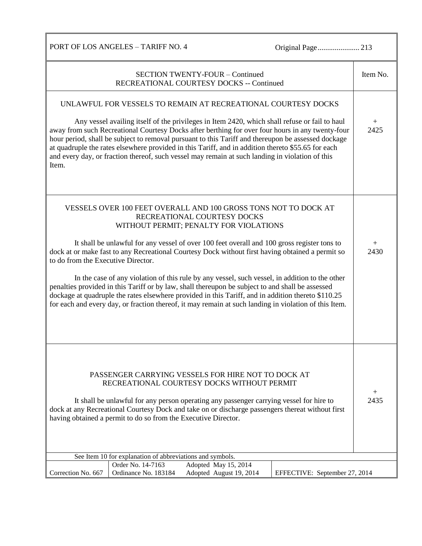PORT OF LOS ANGELES – TARIFF NO. 4 Original Page...................... 213

| <b>SECTION TWENTY-FOUR - Continued</b><br>RECREATIONAL COURTESY DOCKS -- Continued                                                                                                                                                                                                                                                                                                                                                                                                                                                                                                                                                                                                                                                                                                                     |                            |  |  |
|--------------------------------------------------------------------------------------------------------------------------------------------------------------------------------------------------------------------------------------------------------------------------------------------------------------------------------------------------------------------------------------------------------------------------------------------------------------------------------------------------------------------------------------------------------------------------------------------------------------------------------------------------------------------------------------------------------------------------------------------------------------------------------------------------------|----------------------------|--|--|
| UNLAWFUL FOR VESSELS TO REMAIN AT RECREATIONAL COURTESY DOCKS<br>Any vessel availing itself of the privileges in Item 2420, which shall refuse or fail to haul<br>away from such Recreational Courtesy Docks after berthing for over four hours in any twenty-four<br>hour period, shall be subject to removal pursuant to this Tariff and thereupon be assessed dockage<br>at quadruple the rates elsewhere provided in this Tariff, and in addition thereto \$55.65 for each<br>and every day, or fraction thereof, such vessel may remain at such landing in violation of this<br>Item.                                                                                                                                                                                                             | $\hspace{0.1mm} +$<br>2425 |  |  |
| VESSELS OVER 100 FEET OVERALL AND 100 GROSS TONS NOT TO DOCK AT<br>RECREATIONAL COURTESY DOCKS<br>WITHOUT PERMIT; PENALTY FOR VIOLATIONS<br>It shall be unlawful for any vessel of over 100 feet overall and 100 gross register tons to<br>dock at or make fast to any Recreational Courtesy Dock without first having obtained a permit so<br>to do from the Executive Director.<br>In the case of any violation of this rule by any vessel, such vessel, in addition to the other<br>penalties provided in this Tariff or by law, shall thereupon be subject to and shall be assessed<br>dockage at quadruple the rates elsewhere provided in this Tariff, and in addition thereto \$110.25<br>for each and every day, or fraction thereof, it may remain at such landing in violation of this Item. | $\mathrm{+}$<br>2430       |  |  |
| PASSENGER CARRYING VESSELS FOR HIRE NOT TO DOCK AT<br>RECREATIONAL COURTESY DOCKS WITHOUT PERMIT<br>It shall be unlawful for any person operating any passenger carrying vessel for hire to<br>dock at any Recreational Courtesy Dock and take on or discharge passengers thereat without first<br>having obtained a permit to do so from the Executive Director.                                                                                                                                                                                                                                                                                                                                                                                                                                      |                            |  |  |
| See Item 10 for explanation of abbreviations and symbols.<br>Order No. 14-7163<br>Adopted May 15, 2014                                                                                                                                                                                                                                                                                                                                                                                                                                                                                                                                                                                                                                                                                                 |                            |  |  |
| Correction No. 667<br>Ordinance No. 183184<br>Adopted August 19, 2014<br>EFFECTIVE: September 27, 2014                                                                                                                                                                                                                                                                                                                                                                                                                                                                                                                                                                                                                                                                                                 |                            |  |  |